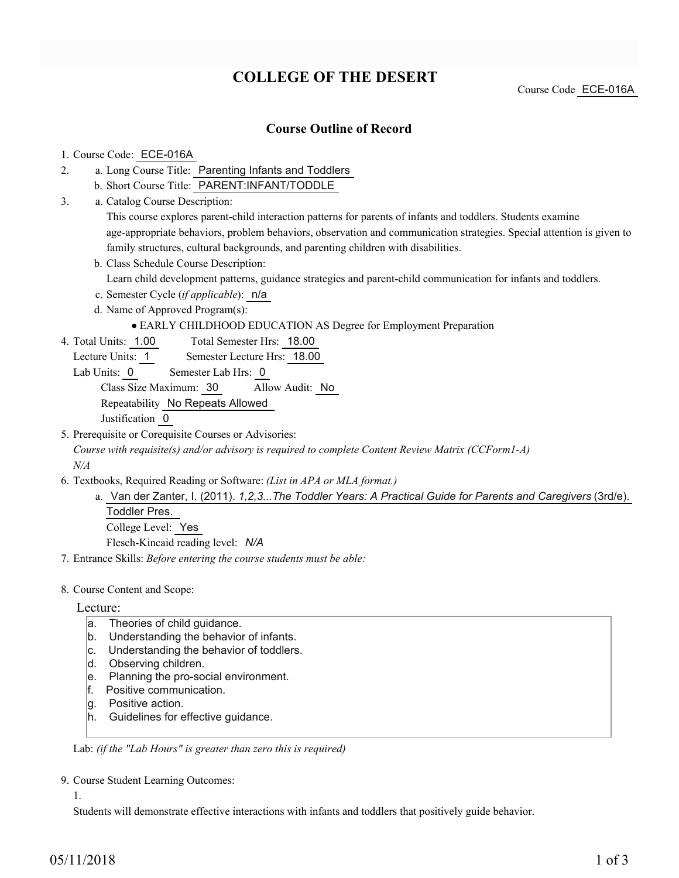# **COLLEGE OF THE DESERT**

Course Code ECE-016A

## **Course Outline of Record**

#### 1. Course Code: ECE-016A

- a. Long Course Title: Parenting Infants and Toddlers 2.
	- b. Short Course Title: PARENT:INFANT/TODDLE
- Catalog Course Description: a. 3.

This course explores parent-child interaction patterns for parents of infants and toddlers. Students examine age-appropriate behaviors, problem behaviors, observation and communication strategies. Special attention is given to family structures, cultural backgrounds, and parenting children with disabilities.

b. Class Schedule Course Description:

Learn child development patterns, guidance strategies and parent-child communication for infants and toddlers.

- c. Semester Cycle (*if applicable*): n/a
- d. Name of Approved Program(s):

#### EARLY CHILDHOOD EDUCATION AS Degree for Employment Preparation

Total Semester Hrs: 18.00 4. Total Units: 1.00

Lecture Units: 1 Semester Lecture Hrs: 18.00

Lab Units: 0 Semester Lab Hrs: 0

Class Size Maximum: 30 Allow Audit: No

Repeatability No Repeats Allowed

Justification 0

5. Prerequisite or Corequisite Courses or Advisories:

*Course with requisite(s) and/or advisory is required to complete Content Review Matrix (CCForm1-A) N/A*

- Textbooks, Required Reading or Software: *(List in APA or MLA format.)* 6.
	- a. Van der Zanter, I. (2011). *1,2,3...The Toddler Years: A Practical Guide for Parents and Caregivers* (3rd/e). Toddler Pres.

College Level: Yes Flesch-Kincaid reading level: *N/A*

7. Entrance Skills: *Before entering the course students must be able:*

8. Course Content and Scope:

#### Lecture:

- a. Theories of child guidance.
- b. Understanding the behavior of infants.
- c. Understanding the behavior of toddlers.
- d. Observing children.
- e. Planning the pro-social environment.
- f. Positive communication.
- g. Positive action.
- h. Guidelines for effective guidance.

Lab: *(if the "Lab Hours" is greater than zero this is required)*

9. Course Student Learning Outcomes:

1.

Students will demonstrate effective interactions with infants and toddlers that positively guide behavior.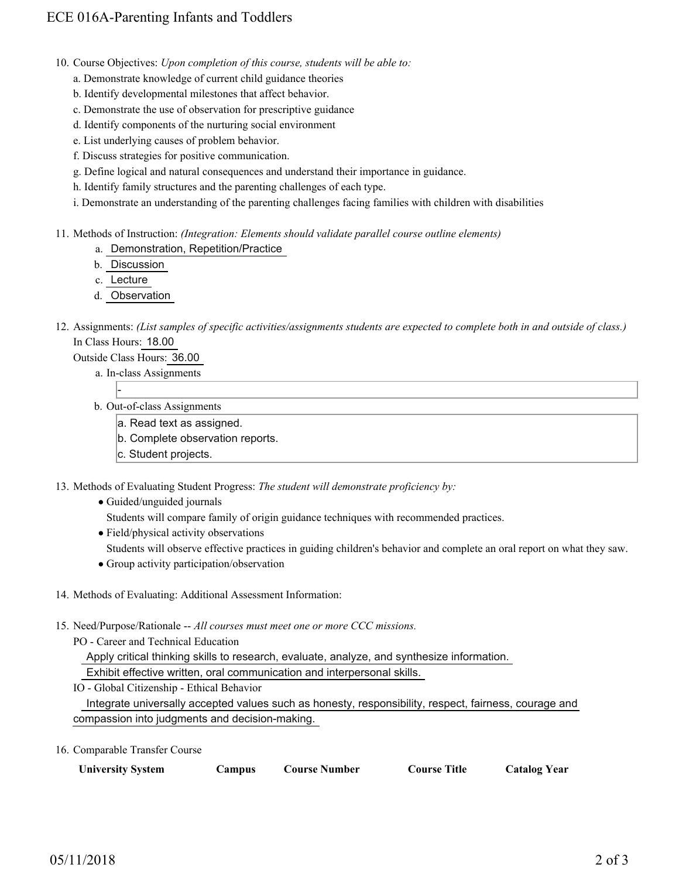- 10. Course Objectives: Upon completion of this course, students will be able to:
	- a. Demonstrate knowledge of current child guidance theories
	- b. Identify developmental milestones that affect behavior.
	- c. Demonstrate the use of observation for prescriptive guidance
	- d. Identify components of the nurturing social environment
	- e. List underlying causes of problem behavior.
	- f. Discuss strategies for positive communication.
	- g. Define logical and natural consequences and understand their importance in guidance.
	- h. Identify family structures and the parenting challenges of each type.
	- i. Demonstrate an understanding of the parenting challenges facing families with children with disabilities

11. Methods of Instruction: *(Integration: Elements should validate parallel course outline elements)* 

- a. Demonstration, Repetition/Practice
- b. Discussion
- c. Lecture
- d. Observation

### 12. Assignments: (List samples of specific activities/assignments students are expected to complete both in and outside of class.) In Class Hours: 18.00

Outside Class Hours: 36.00

a. In-class Assignments

-

- b. Out-of-class Assignments
	- a. Read text as assigned.
	- b. Complete observation reports.
	- c. Student projects.

13. Methods of Evaluating Student Progress: The student will demonstrate proficiency by:

Guided/unguided journals

Students will compare family of origin guidance techniques with recommended practices.

• Field/physical activity observations

Students will observe effective practices in guiding children's behavior and complete an oral report on what they saw.

- Group activity participation/observation
- 14. Methods of Evaluating: Additional Assessment Information:
- 15. Need/Purpose/Rationale -- All courses must meet one or more CCC missions.

PO - Career and Technical Education

Apply critical thinking skills to research, evaluate, analyze, and synthesize information.

Exhibit effective written, oral communication and interpersonal skills.

IO - Global Citizenship - Ethical Behavior

 Integrate universally accepted values such as honesty, responsibility, respect, fairness, courage and compassion into judgments and decision-making.

16. Comparable Transfer Course

| <b>University System</b><br>Campus | <b>Course Title</b><br>Course Number | <b>Catalog Year</b> |
|------------------------------------|--------------------------------------|---------------------|
|------------------------------------|--------------------------------------|---------------------|